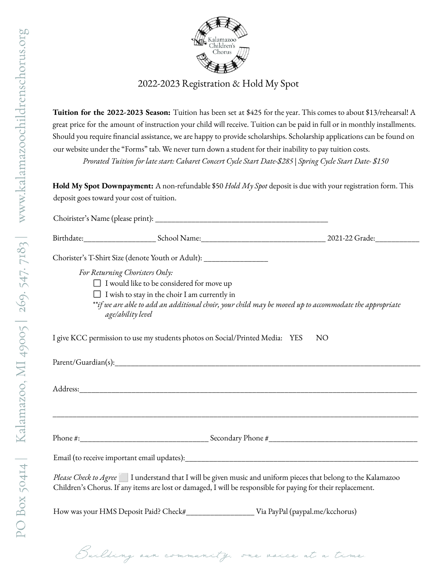## 2022-2023 Registration & Hold My Spot

**Tuition for the 2022-2023 Season:** Tuition has been set at \$425 for the year. This comes to about \$13/rehearsal! A great price for the amount of instruction your child will receive. Tuition can be paid in full or in monthly installments. Should you require financial assistance, we are happy to provide scholarships. Scholarship applications can be found on our website under the "Forms" tab. We never turn down a student for their inability to pay tuition costs. *Prorated Tuition for late start: Cabaret Concert Cycle Start Date-\$285 | Spring Cycle Start Date- \$150*

**Hold My Spot Downpayment:** A non-refundable \$50 *Hold My Spot* deposit is due with your registration form. This deposit goes toward your cost of tuition.

| Chorister's T-Shirt Size (denote Youth or Adult): _______________________________                                                                                                                                             |                 |
|-------------------------------------------------------------------------------------------------------------------------------------------------------------------------------------------------------------------------------|-----------------|
| For Returning Choristers Only:                                                                                                                                                                                                |                 |
| $\Box$ I would like to be considered for move up                                                                                                                                                                              |                 |
| $\Box$ I wish to stay in the choir I am currently in                                                                                                                                                                          |                 |
| **if we are able to add an additional choir, your child may be moved up to accommodate the appropriate<br>age/ability level                                                                                                   |                 |
| I give KCC permission to use my students photos on Social/Printed Media: YES                                                                                                                                                  | NO <sub>1</sub> |
|                                                                                                                                                                                                                               |                 |
|                                                                                                                                                                                                                               |                 |
|                                                                                                                                                                                                                               |                 |
|                                                                                                                                                                                                                               |                 |
|                                                                                                                                                                                                                               |                 |
| Please Check to Agree 1 understand that I will be given music and uniform pieces that belong to the Kalamazoo<br>Children's Chorus. If any items are lost or damaged, I will be responsible for paying for their replacement. |                 |
|                                                                                                                                                                                                                               |                 |
|                                                                                                                                                                                                                               |                 |
| Building our community, one voice at a time                                                                                                                                                                                   |                 |